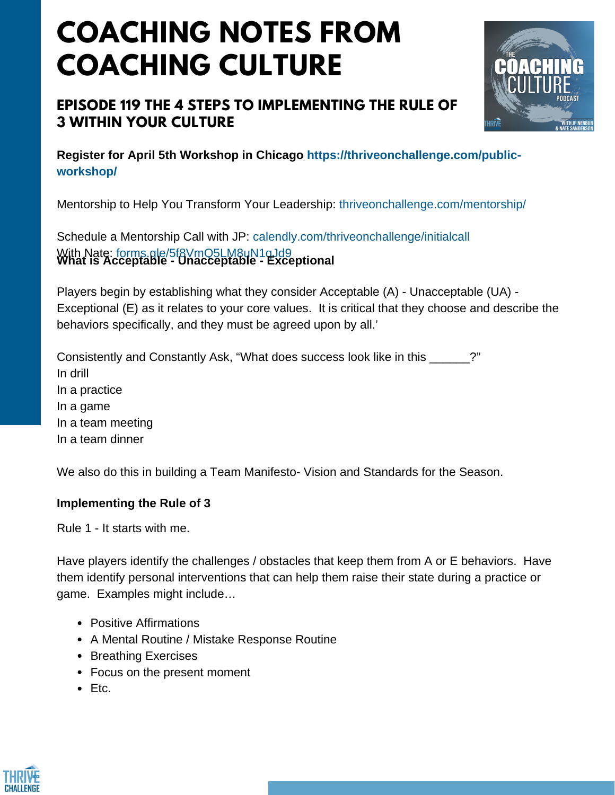# **COACHING NOTES FROM COACHING CULTURE**

## **EPISODE 119 THE 4 STEPS TO IMPLEMENTING THE RULE OF 3 WITHIN YOUR CULTURE**



**Register for April 5th Workshop in Chicago https://thriveonchallenge.com/publicworkshop/**

Mentorship to Help You Transform Your Leadership: thriveonchallenge.com/mentorship/

Schedule a Mentorship Call with JP: calendly.com/thriveonchallenge/initialcall With Nate: forms.gle/5f8VmQ5LM8uN1qJd9 **What is Acceptable - Unacceptable - Exceptional**

Players begin by establishing what they consider Acceptable (A) - Unacceptable (UA) - Exceptional (E) as it relates to your core values. It is critical that they choose and describe the behaviors specifically, and they must be agreed upon by all.'

Consistently and Constantly Ask, "What does success look like in this \_\_\_\_\_\_?" In drill In a practice In a game In a team meeting In a team dinner

We also do this in building a Team Manifesto- Vision and Standards for the Season.

### **Implementing the Rule of 3**

Rule 1 - It starts with me.

Have players identify the challenges / obstacles that keep them from A or E behaviors. Have them identify personal interventions that can help them raise their state during a practice or game. Examples might include…

- Positive Affirmations
- A Mental Routine / Mistake Response Routine
- Breathing Exercises
- Focus on the present moment
- Etc.

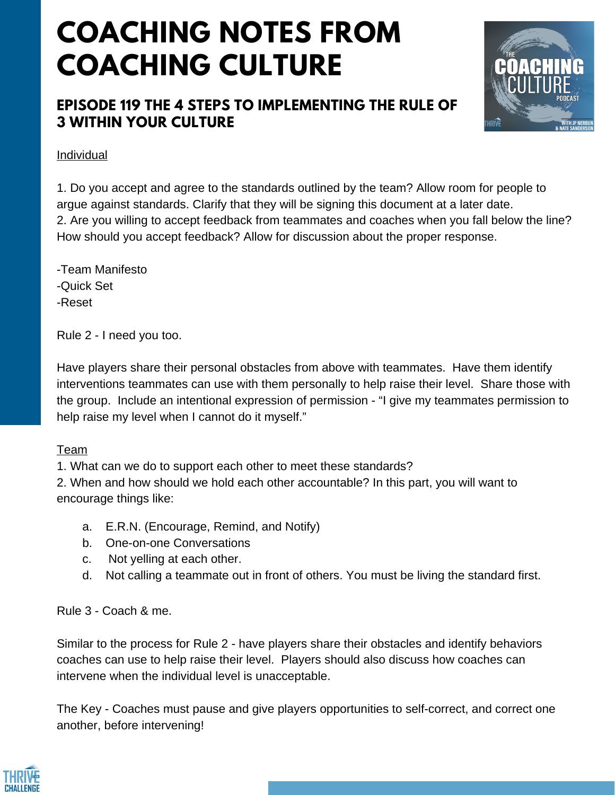# **COACHING NOTES FROM COACHING CULTURE**

## **EPISODE 119 THE 4 STEPS TO IMPLEMENTING THE RULE OF 3 WITHIN YOUR CULTURE**



#### Individual

1. Do you accept and agree to the standards outlined by the team? Allow room for people to argue against standards. Clarify that they will be signing this document at a later date. 2. Are you willing to accept feedback from teammates and coaches when you fall below the line? How should you accept feedback? Allow for discussion about the proper response.

- -Team Manifesto
- -Quick Set
- -Reset

Rule 2 - I need you too.

Have players share their personal obstacles from above with teammates. Have them identify interventions teammates can use with them personally to help raise their level. Share those with the group. Include an intentional expression of permission - "I give my teammates permission to help raise my level when I cannot do it myself."

#### Team

1. What can we do to support each other to meet these standards?

2. When and how should we hold each other accountable? In this part, you will want to encourage things like:

- a. E.R.N. (Encourage, Remind, and Notify)
- b. One-on-one Conversations
- c. Not yelling at each other.
- d. Not calling a teammate out in front of others. You must be living the standard first.

### Rule 3 - Coach & me.

Similar to the process for Rule 2 - have players share their obstacles and identify behaviors coaches can use to help raise their level. Players should also discuss how coaches can intervene when the individual level is unacceptable.

The Key - Coaches must pause and give players opportunities to self-correct, and correct one another, before intervening!